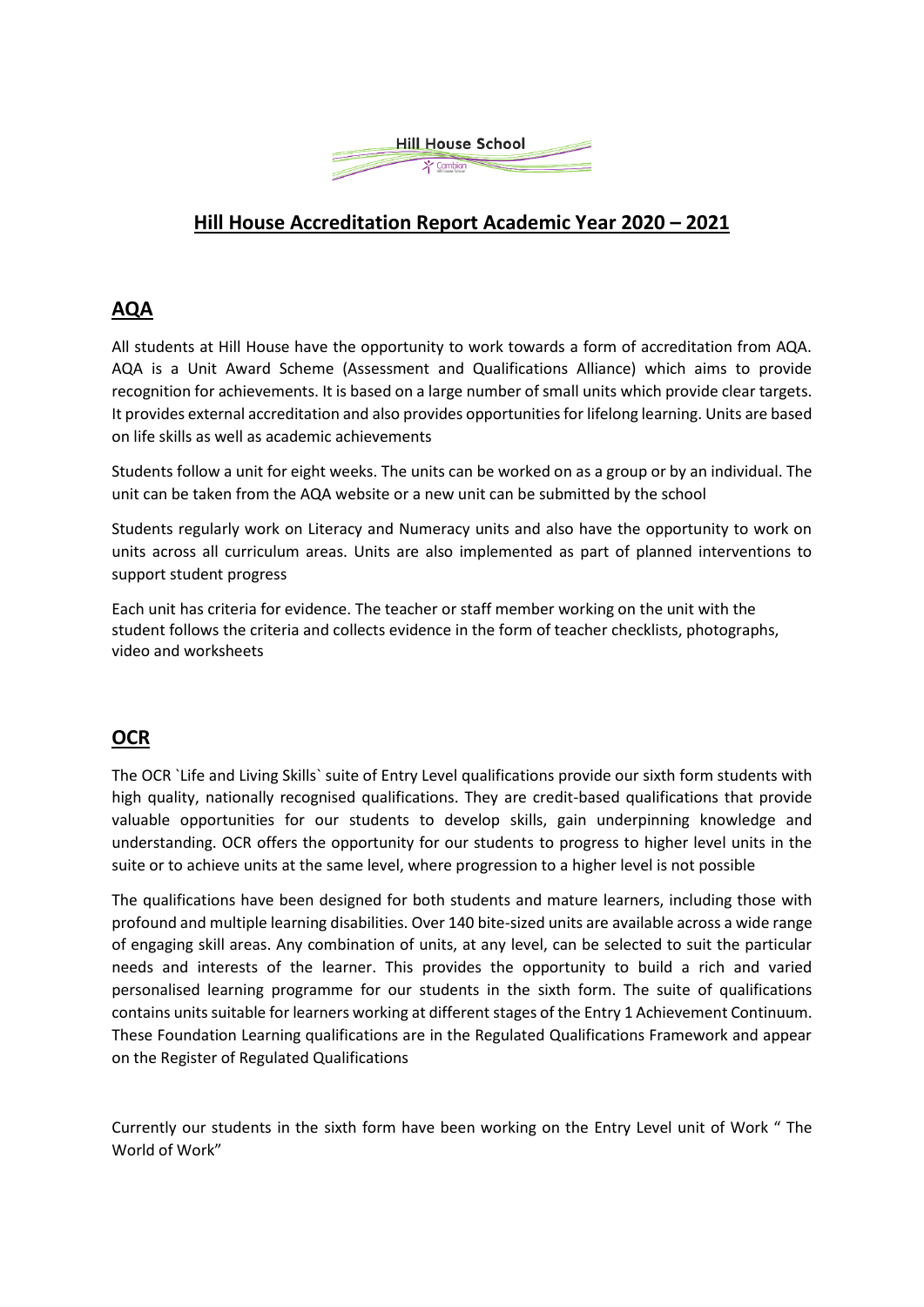

## **Hill House Accreditation Report Academic Year 2020 – 2021**

## **AQA**

All students at Hill House have the opportunity to work towards a form of accreditation from AQA. AQA is a Unit Award Scheme (Assessment and Qualifications Alliance) which aims to provide recognition for achievements. It is based on a large number of small units which provide clear targets. It provides external accreditation and also provides opportunities for lifelong learning. Units are based on life skills as well as academic achievements

Students follow a unit for eight weeks. The units can be worked on as a group or by an individual. The unit can be taken from the AQA website or a new unit can be submitted by the school

Students regularly work on Literacy and Numeracy units and also have the opportunity to work on units across all curriculum areas. Units are also implemented as part of planned interventions to support student progress

Each unit has criteria for evidence. The teacher or staff member working on the unit with the student follows the criteria and collects evidence in the form of teacher checklists, photographs, video and worksheets

## **OCR**

The OCR `Life and Living Skills` suite of Entry Level qualifications provide our sixth form students with high quality, nationally recognised qualifications. They are credit-based qualifications that provide valuable opportunities for our students to develop skills, gain underpinning knowledge and understanding. OCR offers the opportunity for our students to progress to higher level units in the suite or to achieve units at the same level, where progression to a higher level is not possible

The qualifications have been designed for both students and mature learners, including those with profound and multiple learning disabilities. Over 140 bite-sized units are available across a wide range of engaging skill areas. Any combination of units, at any level, can be selected to suit the particular needs and interests of the learner. This provides the opportunity to build a rich and varied personalised learning programme for our students in the sixth form. The suite of qualifications contains units suitable for learners working at different stages of the Entry 1 Achievement Continuum. These Foundation Learning qualifications are in the Regulated Qualifications Framework and appear on the Register of Regulated Qualifications

Currently our students in the sixth form have been working on the Entry Level unit of Work " The World of Work"